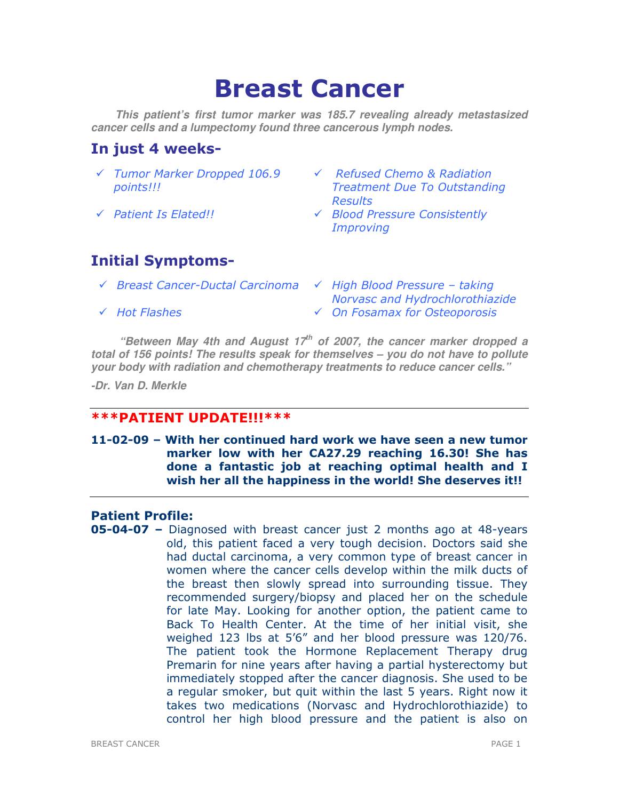# Breast Cancer

**This patient's first tumor marker was 185.7 revealing already metastasized cancer cells and a lumpectomy found three cancerous lymph nodes.**

# In just 4 weeks-

- Tumor Marker Dropped 106.9 points!!!
- 
- $\sqrt{R}$  Refused Chemo & Radiation Treatment Due To Outstanding **Results**
- Patient Is Elated!! Blood Pressure Consistently Improving

# Initial Symptoms-

- $\checkmark$  Breast Cancer-Ductal Carcinoma  $\checkmark$  High Blood Pressure taking
- Norvasc and Hydrochlorothiazide
- Hot Flashes On Fosamax for Osteoporosis

**"Between May 4th and August 17th of 2007, the cancer marker dropped a total of 156 points! The results speak for themselves – you do not have to pollute your body with radiation and chemotherapy treatments to reduce cancer cells."** 

**-Dr. Van D. Merkle** 

# \*\*\*PATIENT UPDATE!!!\*\*\*

# 11-02-09 – With her continued hard work we have seen a new tumor marker low with her CA27.29 reaching 16.30! She has done a fantastic job at reaching optimal health and I wish her all the happiness in the world! She deserves it!!

# Patient Profile:

05-04-07 – Diagnosed with breast cancer just 2 months ago at 48-years old, this patient faced a very tough decision. Doctors said she had ductal carcinoma, a very common type of breast cancer in women where the cancer cells develop within the milk ducts of the breast then slowly spread into surrounding tissue. They recommended surgery/biopsy and placed her on the schedule for late May. Looking for another option, the patient came to Back To Health Center. At the time of her initial visit, she weighed 123 lbs at 5'6" and her blood pressure was 120/76. The patient took the Hormone Replacement Therapy drug Premarin for nine years after having a partial hysterectomy but immediately stopped after the cancer diagnosis. She used to be a regular smoker, but quit within the last 5 years. Right now it takes two medications (Norvasc and Hydrochlorothiazide) to control her high blood pressure and the patient is also on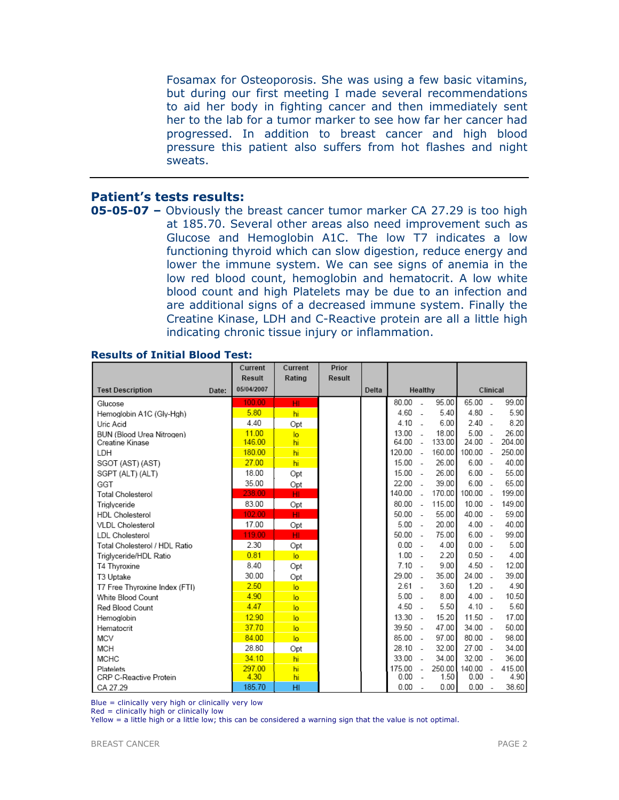Fosamax for Osteoporosis. She was using a few basic vitamins, but during our first meeting I made several recommendations to aid her body in fighting cancer and then immediately sent her to the lab for a tumor marker to see how far her cancer had progressed. In addition to breast cancer and high blood pressure this patient also suffers from hot flashes and night sweats.

# Patient's tests results:

05-05-07 – Obviously the breast cancer tumor marker CA 27.29 is too high at 185.70. Several other areas also need improvement such as Glucose and Hemoglobin A1C. The low T7 indicates a low functioning thyroid which can slow digestion, reduce energy and lower the immune system. We can see signs of anemia in the low red blood count, hemoglobin and hematocrit. A low white blood count and high Platelets may be due to an infection and are additional signs of a decreased immune system. Finally the Creatine Kinase, LDH and C-Reactive protein are all a little high indicating chronic tissue injury or inflammation.

|                                  | Current       | Current        | Prior         |       |        |                          |        |           |                          |        |
|----------------------------------|---------------|----------------|---------------|-------|--------|--------------------------|--------|-----------|--------------------------|--------|
|                                  | <b>Result</b> | Rating         | <b>Result</b> |       |        |                          |        |           |                          |        |
| <b>Test Description</b><br>Date: | 05/04/2007    |                |               | Delta |        | Healthy                  |        |           | Clinical                 |        |
| Glucose                          | 100.00        | HI             |               |       | 80.00  |                          | 95.00  | 65.00     | ÷.                       | 99.00  |
| Hemoglobin A1C (Gly-Hgh)         | 5.80          | hi             |               |       | 4.60   | $\overline{a}$           | 5.40   | 4.80      | $\overline{a}$           | 5.90   |
| Uric Acid                        | 4.40          | Opt            |               |       | 4.10   |                          | 6.00   | 2.40      | ÷.                       | 8.20   |
| BUN (Blood Urea Nitrogen)        | 11.00         | lo             |               |       | 13.00  |                          | 18.00  | 5.00      | $\overline{a}$           | 26.00  |
| Creatine Kinase                  | 146.00        | hi             |               |       | 64.00  | $\overline{a}$           | 133.00 | 24.00     | $\sim$                   | 204.00 |
| LDH                              | 180.00        | hi             |               |       | 120.00 | $\overline{a}$           | 160.00 | 100.00    | $\overline{a}$           | 250.00 |
| SGOT (AST) (AST)                 | 27.00         | hi             |               |       | 15.00  | $\overline{a}$           | 26.00  | 6.00      | $\overline{\phantom{a}}$ | 40.00  |
| SGPT (ALT) (ALT)                 | 18.00         | Opt            |               |       | 15.00  |                          | 26.00  | 6.00      | $\sim$                   | 55.00  |
| GGT                              | 35.00         | Opt            |               |       | 22.00  |                          | 39.00  | 6.00      |                          | 65.00  |
| <b>Total Cholesterol</b>         | 238.00        | HI.            |               |       | 140.00 |                          | 170.00 | 100.00    | $\overline{a}$           | 199.00 |
| Triglyceride                     | 83.00         | Opt            |               |       | 80.00  | $\overline{a}$           | 115.00 | 10.00     | $\sim$                   | 149.00 |
| <b>HDL Cholesterol</b>           | 102.00        | HI             |               |       | 50.00  | $\overline{a}$           | 55.00  | 40.00     | $\sim$                   | 59.00  |
| <b>VLDL Cholesterol</b>          | 17.00         | Opt            |               |       | 5.00   | $\overline{a}$           | 20.00  | 4.00      | $\overline{\phantom{a}}$ | 40.00  |
| LDL Cholesterol                  | 119.00        | HI.            |               |       | 50.00  | $\sim$                   | 75.00  | 6.00      | $\sim$                   | 99.00  |
| Total Cholesterol / HDL Ratio    | 2.30          | Opt            |               |       | 0.00   | $\sim$                   | 4.00   | 0.00      | $\sim$                   | 5.00   |
| Triglyceride/HDL Ratio           | 0.81          | $\overline{a}$ |               |       | 1.00   |                          | 2.20   | $0.50 -$  |                          | 4.00   |
| T4 Thyroxine                     | 8.40          | Opt            |               |       | 7.10   |                          | 9.00   | 4.50      | $\sim$                   | 12.00  |
| T3 Uptake                        | 30.00         | Opt            |               |       | 29.00  | $\overline{a}$           | 35.00  | 24.00     | $\overline{a}$           | 39.00  |
| T7 Free Thyroxine Index (FTI)    | 2.50          | $\overline{a}$ |               |       | 2.61   |                          | 3.60   | 1.20      | $\sim$                   | 4.90   |
| White Blood Count                | 4.90          | $\overline{a}$ |               |       | 5.00   |                          | 8.00   | 4.00      | $\overline{a}$           | 10.50  |
| Red Blood Count                  | 4.47          | $\overline{a}$ |               |       | 4.50   |                          | 5.50   | 4.10      | $\overline{a}$           | 5.60   |
| Hemoglobin                       | 12.90         | $\overline{a}$ |               |       | 13.30  |                          | 15.20  | $11.50 -$ |                          | 17.00  |
| Hematocrit                       | 37.70         | $\overline{a}$ |               |       | 39.50  | $\sim$                   | 47.00  | 34.00     | $\sim$                   | 50.00  |
| <b>MCV</b>                       | 84.00         | $\overline{a}$ |               |       | 85.00  | $\sim$                   | 97.00  | 80.00     | $\sim$                   | 98.00  |
| <b>MCH</b>                       | 28.80         | Opt            |               |       | 28.10  |                          | 32.00  | 27.00     | ÷.                       | 34.00  |
| <b>MCHC</b>                      | 34.10         | hi             |               |       | 33.00  |                          | 34.00  | 32.00     | ÷.                       | 36.00  |
| Platelets                        | 297.00        | hi             |               |       | 175.00 | $\sim$                   | 250.00 | 140.00    | $\overline{a}$           | 415.00 |
| CRP C-Reactive Protein           | 4.30          | hi             |               |       | 0.00   | $\overline{\phantom{a}}$ | 1.50   | 0.00      | $\overline{\phantom{a}}$ | 4.90   |
| CA 27.29                         | 185.70        | HI             |               |       | 0.00   |                          | 0.00   | 0.00      | $\overline{\phantom{a}}$ | 38.60  |

#### Results of Initial Blood Test:

Blue = clinically very high or clinically very low

Red = clinically high or clinically low

Yellow = a little high or a little low; this can be considered a warning sign that the value is not optimal.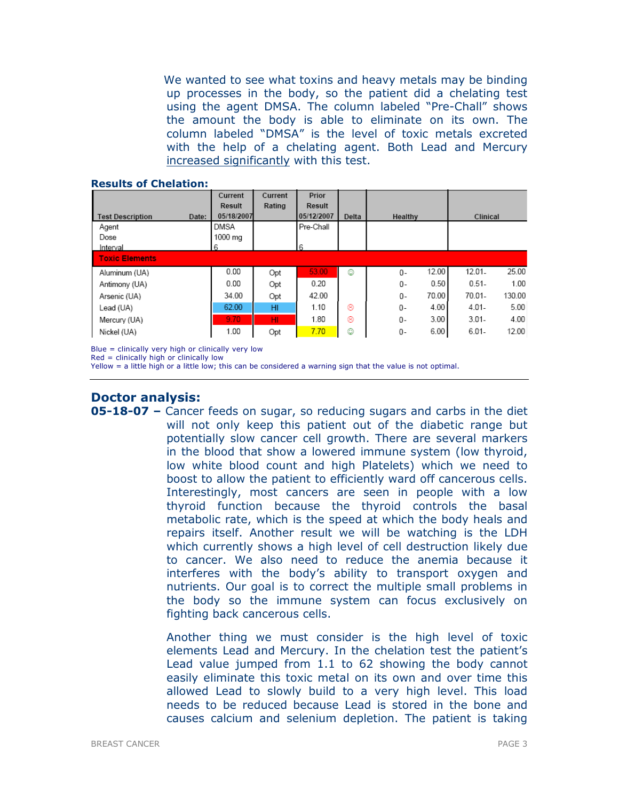We wanted to see what toxins and heavy metals may be binding up processes in the body, so the patient did a chelating test using the agent DMSA. The column labeled "Pre-Chall" shows the amount the body is able to eliminate on its own. The column labeled "DMSA" is the level of toxic metals excreted with the help of a chelating agent. Both Lead and Mercury increased significantly with this test.

|                                  | Current       | Current | Prior      |       |                |                     |
|----------------------------------|---------------|---------|------------|-------|----------------|---------------------|
|                                  | <b>Result</b> | Rating  | Result     |       |                |                     |
| <b>Test Description</b><br>Date: | 05/18/2007    |         | 05/12/2007 | Delta | Healthy        | Clinical            |
| Agent                            | <b>DMSA</b>   |         | Pre-Chall  |       |                |                     |
| Dose                             | 1000 mg       |         |            |       |                |                     |
| Interval                         | 6             |         | 6          |       |                |                     |
| <b>Toxic Elements</b>            |               |         |            |       |                |                     |
| Aluminum (UA)                    | 0.00          | Opt     | 53.00      | ٧     | 12.00<br>$0 -$ | 25.00<br>$12.01 -$  |
| Antimony (UA)                    | 0.00          | Opt     | 0.20       |       | 0.50<br>0-     | $0.51 -$<br>1.00    |
| Arsenic (UA)                     | 34.00         | Opt     | 42.00      |       | 70.00<br>$0 -$ | $70.01 -$<br>130.00 |
| Lead (UA)                        | 62.00         | HI      | 1.10       | ⊛     | 4.00<br>0-     | 5.00<br>$4.01 -$    |
| Mercury (UA)                     | 9.70          | HI      | 1.80       | ⊛     | 3.00<br>0-     | 4.00<br>$3.01 -$    |
| Nickel (UA)                      | 1.00          | Opt     | 7.70       | ٥     | 6.00<br>0-     | $6.01 -$<br>12.00   |

#### Results of Chelation:

Blue = clinically very high or clinically very low

Red = clinically high or clinically low

Yellow = a little high or a little low; this can be considered a warning sign that the value is not optimal.

# Doctor analysis:

05-18-07 – Cancer feeds on sugar, so reducing sugars and carbs in the diet will not only keep this patient out of the diabetic range but potentially slow cancer cell growth. There are several markers in the blood that show a lowered immune system (low thyroid, low white blood count and high Platelets) which we need to boost to allow the patient to efficiently ward off cancerous cells. Interestingly, most cancers are seen in people with a low thyroid function because the thyroid controls the basal metabolic rate, which is the speed at which the body heals and repairs itself. Another result we will be watching is the LDH which currently shows a high level of cell destruction likely due to cancer. We also need to reduce the anemia because it interferes with the body's ability to transport oxygen and nutrients. Our goal is to correct the multiple small problems in the body so the immune system can focus exclusively on fighting back cancerous cells.

> Another thing we must consider is the high level of toxic elements Lead and Mercury. In the chelation test the patient's Lead value jumped from 1.1 to 62 showing the body cannot easily eliminate this toxic metal on its own and over time this allowed Lead to slowly build to a very high level. This load needs to be reduced because Lead is stored in the bone and causes calcium and selenium depletion. The patient is taking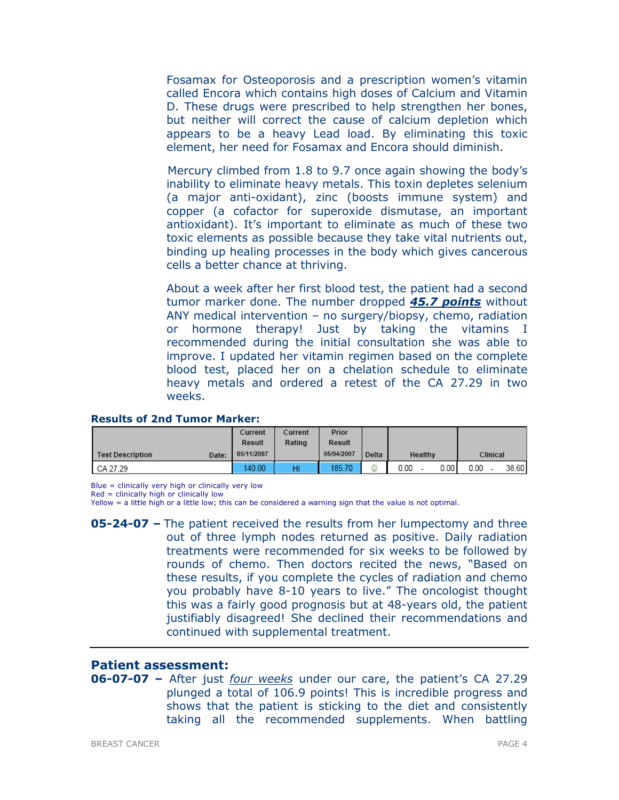Fosamax for Osteoporosis and a prescription women's vitamin called Encora which contains high doses of Calcium and Vitamin D. These drugs were prescribed to help strengthen her bones, but neither will correct the cause of calcium depletion which appears to be a heavy Lead load. By eliminating this toxic element, her need for Fosamax and Encora should diminish.

 Mercury climbed from 1.8 to 9.7 once again showing the body's inability to eliminate heavy metals. This toxin depletes selenium (a major anti-oxidant), zinc (boosts immune system) and copper (a cofactor for superoxide dismutase, an important antioxidant). It's important to eliminate as much of these two toxic elements as possible because they take vital nutrients out, binding up healing processes in the body which gives cancerous cells a better chance at thriving.

 About a week after her first blood test, the patient had a second tumor marker done. The number dropped 45.7 points without ANY medical intervention – no surgery/biopsy, chemo, radiation or hormone therapy! Just by taking the vitamins I recommended during the initial consultation she was able to improve. I updated her vitamin regimen based on the complete blood test, placed her on a chelation schedule to eliminate heavy metals and ordered a retest of the CA 27.29 in two weeks.

## Results of 2nd Tumor Marker:

|                                  | Current       | Current | Prior      |       |         |        |          |       |
|----------------------------------|---------------|---------|------------|-------|---------|--------|----------|-------|
|                                  | <b>Result</b> | Rating  | Result     |       |         |        |          |       |
| <b>Test Description</b><br>Date: | 05/11/2007    |         | 05/04/2007 | Delta | Healthy |        | Clinical |       |
| CA 27.29                         | 140.00        | HI      | 185.70     | ☺     | 0.00    | 0.00 l | 0.00     | 38.60 |

Blue = clinically very high or clinically very low

Yellow = a little high or a little low; this can be considered a warning sign that the value is not optimal.

**05-24-07 –** The patient received the results from her lumpectomy and three out of three lymph nodes returned as positive. Daily radiation treatments were recommended for six weeks to be followed by rounds of chemo. Then doctors recited the news, "Based on these results, if you complete the cycles of radiation and chemo you probably have 8-10 years to live." The oncologist thought this was a fairly good prognosis but at 48-years old, the patient justifiably disagreed! She declined their recommendations and continued with supplemental treatment.

# Patient assessment:

06-07-07 – After just four weeks under our care, the patient's CA 27.29 plunged a total of 106.9 points! This is incredible progress and shows that the patient is sticking to the diet and consistently taking all the recommended supplements. When battling

 $Red =$  clinically high or clinically low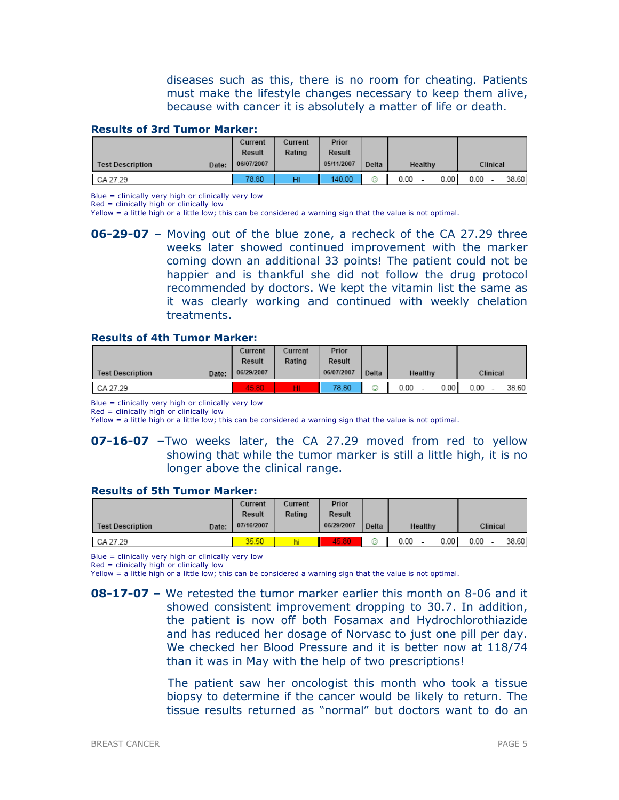diseases such as this, there is no room for cheating. Patients must make the lifestyle changes necessary to keep them alive, because with cancer it is absolutely a matter of life or death.

#### Results of 3rd Tumor Marker:

|                                  | Current       | Current | Prior      |       |         |       |          |       |  |
|----------------------------------|---------------|---------|------------|-------|---------|-------|----------|-------|--|
|                                  | <b>Result</b> | Rating  | Result     |       |         |       |          |       |  |
| <b>Test Description</b><br>Date: | 06/07/2007    |         | 05/11/2007 | Delta | Healthy |       | Clinical |       |  |
| CA 27.29                         | 78.80         | HI      | 140.00     | ☺     | 0.00    | 0.001 | 0.00     | 38.60 |  |

Blue = clinically very high or clinically very low

Red = clinically high or clinically low

Yellow = a little high or a little low; this can be considered a warning sign that the value is not optimal.

06-29-07 – Moving out of the blue zone, a recheck of the CA 27.29 three weeks later showed continued improvement with the marker coming down an additional 33 points! The patient could not be happier and is thankful she did not follow the drug protocol recommended by doctors. We kept the vitamin list the same as it was clearly working and continued with weekly chelation treatments.

#### Results of 4th Tumor Marker:

|                                  | Current<br>Result | Current<br>Rating | Prior<br>Result |       |         |       |          |       |
|----------------------------------|-------------------|-------------------|-----------------|-------|---------|-------|----------|-------|
| <b>Test Description</b><br>Date: | 06/29/2007        |                   | 06/07/2007      | Delta | Healthy |       | Clinical |       |
| CA 27.29                         | 45.80             | нг                | 78.80           | ٥     | 0.00    | 0.001 | 0.00     | 38.60 |

Blue = clinically very high or clinically very low

 $Red =$  clinically high or clinically low

Yellow = a little high or a little low; this can be considered a warning sign that the value is not optimal.

## **07-16-07** –Two weeks later, the CA 27.29 moved from red to yellow showing that while the tumor marker is still a little high, it is no longer above the clinical range.

#### Results of 5th Tumor Marker:

|                                  | Current       | Current | Prior         |       |         |       |          |       |
|----------------------------------|---------------|---------|---------------|-------|---------|-------|----------|-------|
|                                  | <b>Result</b> | Rating  | <b>Result</b> |       |         |       |          |       |
| <b>Test Description</b><br>Date: | 07/16/2007    |         | 06/29/2007    | Delta | Healthy |       | Clinical |       |
| CA 27.29                         | 35.50         |         | 45.80         | ☺     | 0.00    | 0.001 | 0.00     | 38.60 |

Blue = clinically very high or clinically very low

 $Red =$  clinically high or clinically low

Yellow = a little high or a little low; this can be considered a warning sign that the value is not optimal.

 The patient saw her oncologist this month who took a tissue biopsy to determine if the cancer would be likely to return. The tissue results returned as "normal" but doctors want to do an

**<sup>08-17-07 –</sup>** We retested the tumor marker earlier this month on 8-06 and it showed consistent improvement dropping to 30.7. In addition, the patient is now off both Fosamax and Hydrochlorothiazide and has reduced her dosage of Norvasc to just one pill per day. We checked her Blood Pressure and it is better now at 118/74 than it was in May with the help of two prescriptions!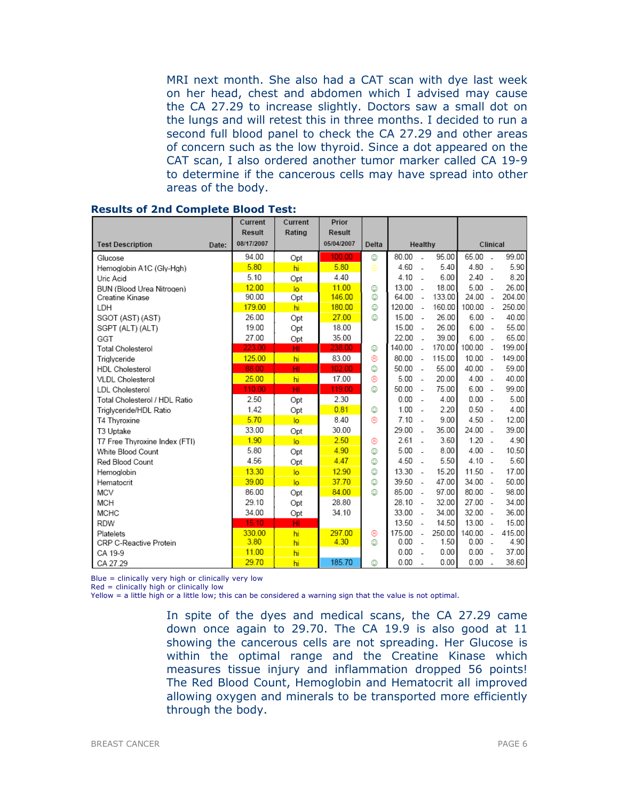MRI next month. She also had a CAT scan with dye last week on her head, chest and abdomen which I advised may cause the CA 27.29 to increase slightly. Doctors saw a small dot on the lungs and will retest this in three months. I decided to run a second full blood panel to check the CA 27.29 and other areas of concern such as the low thyroid. Since a dot appeared on the CAT scan, I also ordered another tumor marker called CA 19-9 to determine if the cancerous cells may have spread into other areas of the body.

|                               |       | Current<br><b>Result</b> | Current<br>Rating | Prior<br><b>Result</b> |       |        |                          |        |           |                          |        |
|-------------------------------|-------|--------------------------|-------------------|------------------------|-------|--------|--------------------------|--------|-----------|--------------------------|--------|
| <b>Test Description</b>       | Date: | 08/17/2007               |                   | 05/04/2007             | Delta |        | Healthy                  |        |           | Clinical                 |        |
| Glucose                       |       | 94.00                    | Opt               | 100.00                 | ٥     | 80.00  | $\overline{\phantom{a}}$ | 95.00  | 65.00     | $\overline{\phantom{a}}$ | 99.00  |
| Hemoglobin A1C (Gly-Hgh)      |       | 5.80                     | hi                | 5.80                   | Θ     | 4.60   | $\overline{\phantom{a}}$ | 5.40   | 4.80      | $\overline{\phantom{a}}$ | 5.90   |
| Uric Acid                     |       | 5.10                     | Opt               | 4.40                   |       | 4.10   | $\sim$                   | 6.00   | $2.40 -$  |                          | 8.20   |
| BUN (Blood Urea Nitrogen)     |       | 12.00                    | $\overline{a}$    | 11.00                  | ☺     | 13.00  | $\sim$                   | 18.00  | 5.00      | $\overline{a}$           | 26.00  |
| Creatine Kinase               |       | 90.00                    | Opt               | 146.00                 | ٨     | 64.00  | $\sim$                   | 133.00 | 24.00     | $\sim$                   | 204.00 |
| LDH                           |       | 179.00                   | hi                | 180.00                 | ٧     | 120.00 | $\sim$                   | 160.00 | 100.00    | $\sim$                   | 250.00 |
| SGOT (AST) (AST)              |       | 26.00                    | Opt               | 27.00                  | ٥     | 15.00  | $\sim$                   | 26.00  | 6.00      | $\overline{\phantom{a}}$ | 40.00  |
| SGPT (ALT) (ALT)              |       | 19.00                    | Opt               | 18.00                  |       | 15.00  | $\sim$                   | 26.00  | $6.00 -$  |                          | 55.00  |
| GGT                           |       | 27.00                    | Opt               | 35.00                  |       | 22.00  | $\overline{\phantom{a}}$ | 39.00  | $6.00 -$  |                          | 65.00  |
| <b>Total Cholesterol</b>      |       | 223.00                   | HI                | 238.00                 | ٥     | 140.00 | $\overline{a}$           | 170.00 | 100.00    | $\overline{a}$           | 199.00 |
| Triglyceride                  |       | 125.00                   | hi                | 83.00                  | ⊛     | 80.00  | $\sim$                   | 115.00 | 10.00     | $\overline{\phantom{a}}$ | 149.00 |
| <b>HDL Cholesterol</b>        |       | 88.00                    | HI                | 102.00                 | ☺     | 50.00  | $\sim$                   | 55.00  | 40.00 -   |                          | 59.00  |
| <b>VLDL Cholesterol</b>       |       | 25.00                    | hi                | 17.00                  | ⊛     | 5.00   | $\sim$                   | 20.00  | 4.00      | $\sim$                   | 40.00  |
| LDL Cholesterol               |       | 110.00                   | HI.               | 119.00                 | O     | 50.00  | $\sim$                   | 75.00  | 6.00      | $\overline{\phantom{a}}$ | 99.00  |
| Total Cholesterol / HDL Ratio |       | 2.50                     | Opt               | 2.30                   |       | 0.00   | $\sim$                   | 4.00   | $0.00 -$  |                          | 5.00   |
| Triglyceride/HDL Ratio        |       | 1.42                     | Opt               | 0.81                   | ☺     | 1.00   | $\sim$                   | 2.20   | 0.50      | $\overline{\phantom{a}}$ | 4.00   |
| T4 Thyroxine                  |       | 5.70                     | $\overline{a}$    | 8.40                   | ⊛     | 7.10   | $\sim$                   | 9.00   | 4.50      | $\overline{a}$           | 12.00  |
| T3 Uptake                     |       | 33.00                    | Opt               | 30.00                  |       | 29.00  | $\overline{\phantom{a}}$ | 35.00  | 24.00     | $\overline{\phantom{a}}$ | 39.00  |
| T7 Free Thyroxine Index (FTI) |       | 1.90                     | $\overline{a}$    | 2.50                   | ⊛     | 2.61   | - 1                      | 3.60   | $1.20 -$  |                          | 4.90   |
| White Blood Count             |       | 5.80                     | Opt               | 4.90                   | ☺     | 5.00   | $\overline{\phantom{a}}$ | 8.00   | 4.00      | $\overline{\phantom{a}}$ | 10.50  |
| Red Blood Count               |       | 4.56                     | Opt               | 4.47                   | ☺     | 4.50   | ÷.                       | 5.50   | 4.10      | $\overline{\phantom{a}}$ | 5.60   |
| Hemoglobin                    |       | 13.30                    | $\overline{a}$    | 12.90                  | ٥     | 13.30  | $\sim$                   | 15.20  | 11.50     | $\overline{\phantom{a}}$ | 17.00  |
| Hematocrit                    |       | 39.00                    | $\overline{a}$    | 37.70                  | ☺     | 39.50  | $\overline{a}$           | 47.00  | 34.00     | $\sim$                   | 50.00  |
| <b>MCV</b>                    |       | 86.00                    | Opt               | 84.00                  | O     | 85.00  | $\sim$                   | 97.00  | $80.00 -$ |                          | 98.00  |
| <b>MCH</b>                    |       | 29.10                    | Opt               | 28.80                  |       | 28.10  | $\sim$                   | 32.00  | $27.00 -$ |                          | 34.00  |
| <b>MCHC</b>                   |       | 34.00                    | Opt               | 34.10                  |       | 33.00  | $\sim$                   | 34.00  | 32.00     | $\overline{\phantom{a}}$ | 36.00  |
| <b>RDW</b>                    |       | 15.10                    | HI                |                        |       | 13.50  | $\sim$                   | 14.50  | 13.00     | $\overline{\phantom{a}}$ | 15.00  |
| Platelets                     |       | 330.00                   | hi                | 297.00                 | ⊛     | 175.00 | $\overline{a}$           | 250.00 | 140.00    | $\overline{\phantom{a}}$ | 415.00 |
| CRP C-Reactive Protein        |       | 3.80                     | hi                | 4.30                   | ٧     | 0.00   | $\overline{\phantom{a}}$ | 1.50   | 0.00      | $\overline{\phantom{a}}$ | 4.90   |
| CA 19-9                       |       | 11.00                    | hi                |                        |       | 0.00   | $\overline{\phantom{a}}$ | 0.00   | 0.00      | $\overline{\phantom{a}}$ | 37.00  |
| CA 27.29                      |       | 29.70                    | hi                | 185.70                 | ٥     | 0.00   | $\overline{a}$           | 0.00   | 0.00      | $\overline{\phantom{a}}$ | 38.60  |

## Results of 2nd Complete Blood Test:

Blue = clinically very high or clinically very low

 $Red =$  clinically high or clinically low

Yellow = a little high or a little low; this can be considered a warning sign that the value is not optimal.

In spite of the dyes and medical scans, the CA 27.29 came down once again to 29.70. The CA 19.9 is also good at 11 showing the cancerous cells are not spreading. Her Glucose is within the optimal range and the Creatine Kinase which measures tissue injury and inflammation dropped 56 points! The Red Blood Count, Hemoglobin and Hematocrit all improved allowing oxygen and minerals to be transported more efficiently through the body.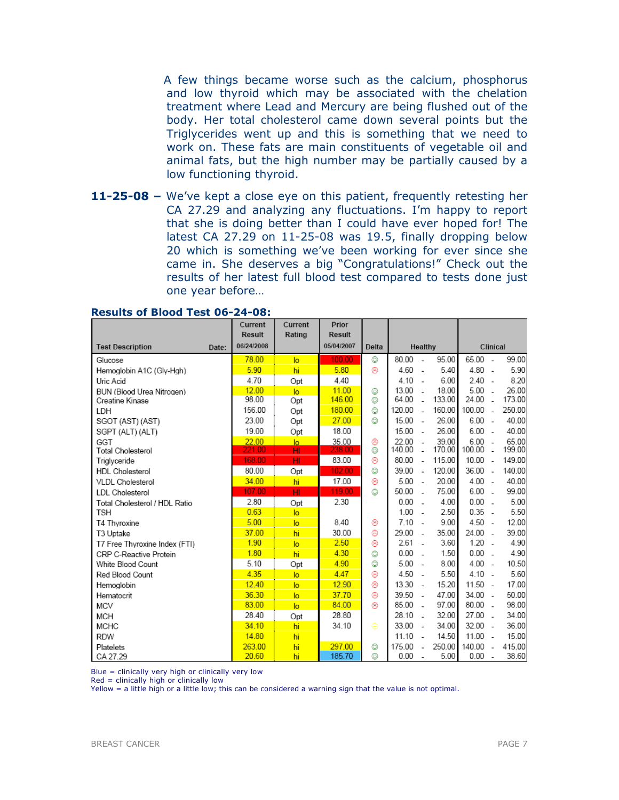A few things became worse such as the calcium, phosphorus and low thyroid which may be associated with the chelation treatment where Lead and Mercury are being flushed out of the body. Her total cholesterol came down several points but the Triglycerides went up and this is something that we need to work on. These fats are main constituents of vegetable oil and animal fats, but the high number may be partially caused by a low functioning thyroid.

11-25-08 – We've kept a close eye on this patient, frequently retesting her CA 27.29 and analyzing any fluctuations. I'm happy to report that she is doing better than I could have ever hoped for! The latest CA 27.29 on 11-25-08 was 19.5, finally dropping below 20 which is something we've been working for ever since she came in. She deserves a big "Congratulations!" Check out the results of her latest full blood test compared to tests done just one year before…

|                                  | Current<br><b>Result</b> | Current        | Prior<br><b>Result</b> |       |        |                          |        |           |                          |        |
|----------------------------------|--------------------------|----------------|------------------------|-------|--------|--------------------------|--------|-----------|--------------------------|--------|
| <b>Test Description</b><br>Date: | 06/24/2008               | Rating         | 05/04/2007             | Delta |        | Healthy                  |        |           | Clinical                 |        |
|                                  |                          |                |                        |       |        |                          |        |           |                          |        |
| Glucose                          | 78.00                    | $\overline{a}$ | 100.00                 | ٧     | 80.00  | $\overline{a}$           | 95.00  | 65.00     | $\sim$                   | 99.00  |
| Hemoglobin A1C (Gly-Hgh)         | 5.90                     | hi             | 5.80                   | ⊛     | 4.60   | $\overline{a}$           | 5.40   | $4.80 -$  |                          | 5.90   |
| Uric Acid                        | 4.70                     | Opt            | 4.40                   |       | 4.10   | $\sim$                   | 6.00   | $2.40 -$  |                          | 8.20   |
| BUN (Blood Urea Nitrogen)        | 12.00                    | $\overline{a}$ | 11.00                  | ☺     | 13.00  | $\overline{a}$           | 18.00  | 5.00      | ÷.                       | 26.00  |
| Creatine Kinase                  | 98.00                    | Opt            | 146.00                 | ☺     | 64.00  | $\overline{a}$           | 133.00 | 24.00     | $\overline{a}$           | 173.00 |
| LDH                              | 156.00                   | Opt            | 180.00                 | ☺     | 120.00 | $\overline{a}$           | 160.00 | 100.00    | $\overline{a}$           | 250.00 |
| SGOT (AST) (AST)                 | 23.00                    | Opt            | 27.00                  | ☺     | 15.00  | $\overline{\phantom{a}}$ | 26.00  | 6.00      | ÷.                       | 40.00  |
| SGPT (ALT) (ALT)                 | 19.00                    | Opt            | 18.00                  |       | 15.00  | $\sim$                   | 26.00  | $6.00 -$  |                          | 40.00  |
| GGT                              | 22.00                    | $\overline{a}$ | 35.00                  | ⊛     | 22.00  | $\overline{a}$           | 39.00  | 6.00      | $\sim$                   | 65.00  |
| <b>Total Cholesterol</b>         | 221.00                   | HI             | 238.00                 | ☺     | 140.00 | $\overline{\phantom{a}}$ | 170.00 | 100.00    | $\overline{a}$           | 199.00 |
| Triglyceride                     | 168.00                   | HI             | 83.00                  | ⊛     | 80.00  | $\sim$                   | 115.00 | 10.00     | $\overline{\phantom{a}}$ | 149.00 |
| <b>HDL</b> Cholesterol           | 80.00                    | Opt            | 102.00                 | ☺     | 39.00  | $\overline{\phantom{a}}$ | 120.00 | 36.00     | $\overline{\phantom{a}}$ | 140.00 |
| <b>VLDL Cholesterol</b>          | 34.00                    | hi             | 17.00                  | ⊛     | 5.00   | $\overline{a}$           | 20.00  | $4.00 -$  |                          | 40.00  |
| <b>LDL</b> Cholesterol           | 107.00                   | HI             | 119.00                 | ☺     | 50.00  | $\overline{a}$           | 75.00  | 6.00      | ÷.                       | 99.00  |
| Total Cholesterol / HDL Ratio    | 2.80                     | Opt            | 2.30                   |       | 0.00   | $\overline{\phantom{a}}$ | 4.00   | $0.00 -$  |                          | 5.00   |
| <b>TSH</b>                       | 0.63                     | $\overline{a}$ |                        |       | 1.00   | $\overline{\phantom{a}}$ | 2.50   | $0.35 -$  |                          | 5.50   |
| T4 Thyroxine                     | 5.00                     | $\overline{a}$ | 8.40                   | ⊛     | 7.10   | $\overline{\phantom{a}}$ | 9.00   | $4.50 -$  |                          | 12.00  |
| T3 Uptake                        | 37.00                    | hi             | 30.00                  | ⊛     | 29.00  | $\overline{a}$           | 35.00  | 24.00     | $\sim$                   | 39.00  |
| T7 Free Thyroxine Index (FTI)    | 1.90                     | lo.            | 2.50                   | ⊛     | 2.61   | $\sim$                   | 3.60   | 1.20      | $\overline{\phantom{a}}$ | 4.90   |
| CRP C-Reactive Protein           | 1.80                     | hi             | 4.30                   | ☺     | 0.00   | $\overline{\phantom{a}}$ | 1.50   | $0.00 -$  |                          | 4.90   |
| White Blood Count                | 5.10                     | Opt            | 4.90                   | ☺     | 5.00   | $\overline{\phantom{a}}$ | 8.00   | $4.00 -$  |                          | 10.50  |
| Red Blood Count                  | 4.35                     | $\overline{a}$ | 4.47                   | ⊛     | 4.50   | $\overline{a}$           | 5.50   | $4.10 -$  |                          | 5.60   |
| Hemoglobin                       | 12.40                    | lo.            | 12.90                  | ⊛     | 13.30  | $\overline{\phantom{a}}$ | 15.20  | $11.50 -$ |                          | 17.00  |
| Hematocrit                       | 36.30                    | $\overline{a}$ | 37.70                  | ⊛     | 39.50  | $\overline{\phantom{a}}$ | 47.00  | $34.00 -$ |                          | 50.00  |
| <b>MCV</b>                       | 83.00                    | $\overline{a}$ | 84.00                  | ⊛     | 85.00  | $\overline{\phantom{a}}$ | 97.00  | $80.00 -$ |                          | 98.00  |
| <b>MCH</b>                       | 28.40                    | Opt            | 28.80                  |       | 28.10  | ÷.                       | 32.00  | 27.00     | $\overline{a}$           | 34.00  |
| <b>MCHC</b>                      | 34.10                    | hi             | 34.10                  | ⊜     | 33.00  | $\sim$                   | 34.00  | $32.00 -$ |                          | 36.00  |
| <b>RDW</b>                       | 14.80                    | hi             |                        |       | 11.10  | $\overline{\phantom{a}}$ | 14.50  | $11.00 -$ |                          | 15.00  |
| Platelets                        | 263.00                   | hi             | 297.00                 | ☺     | 175.00 | $\overline{a}$           | 250.00 | 140.00    | $\overline{\phantom{a}}$ | 415.00 |
| CA 27.29                         | 20.60                    | hi             | 185.70                 | ☺     | 0.00   | $\overline{\phantom{a}}$ | 5.00   | 0.00      | ÷.                       | 38.60  |

#### Results of Blood Test 06-24-08:

Blue = clinically very high or clinically very low

 $Red =$  clinically high or clinically low

Yellow = a little high or a little low; this can be considered a warning sign that the value is not optimal.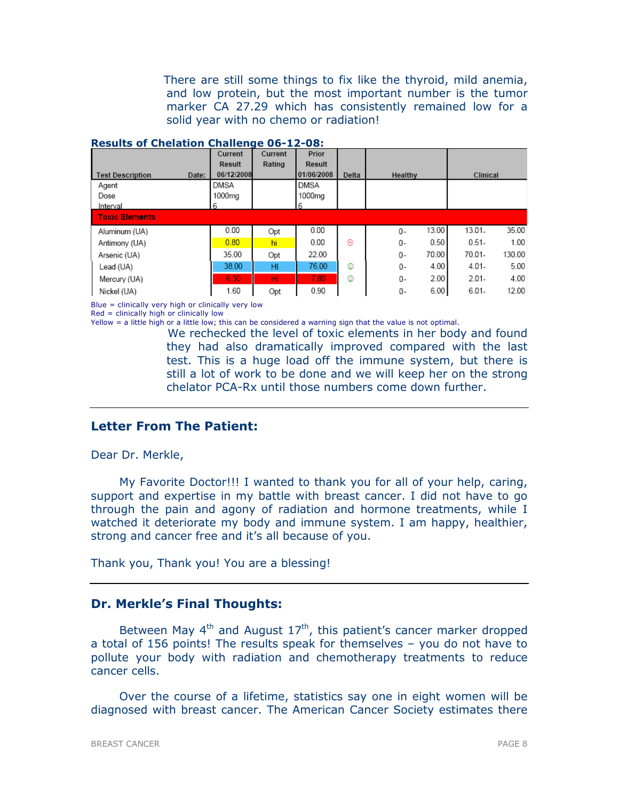There are still some things to fix like the thyroid, mild anemia, and low protein, but the most important number is the tumor marker CA 27.29 which has consistently remained low for a solid year with no chemo or radiation!

|                                  | Current       | Current | Prior         |       |                |           |        |  |
|----------------------------------|---------------|---------|---------------|-------|----------------|-----------|--------|--|
|                                  | <b>Result</b> | Rating  | <b>Result</b> |       |                |           |        |  |
| <b>Test Description</b><br>Date: | 06/12/2008    |         | 01/06/2008    | Delta | Healthy        | Clinical  |        |  |
| Agent                            | DMSA          |         | DMSA          |       |                |           |        |  |
| Dose                             | 1000ma        |         | 1000mg        |       |                |           |        |  |
| Interval                         | 6             |         | 6             |       |                |           |        |  |
| <b>Toxic Elements</b>            |               |         |               |       |                |           |        |  |
| Aluminum (UA)                    | 0.00          | Opt     | 0.00          |       | 13.00<br>0-    | 13.01.    | 35.00  |  |
| Antimony (UA)                    | 0.80          | hi      | 0.00          | ⊛     | 0.50<br>0-     | $0.51 -$  | 1.00   |  |
| Arsenic (UA)                     | 35.00         | Opt     | 22.00         |       | 70.00<br>$0 -$ | $70.01 -$ | 130.00 |  |
| Lead (UA)                        | 38.00         | HI      | 76.00         | ☺     | 4.00<br>0-     | $4.01 -$  | 5.00   |  |
| Mercury (UA)                     | 6.30          | HI.     | 7.80          | ☺     | 2.00<br>0-     | $2.01 -$  | 4.00   |  |
| Nickel (UA)                      | 1.60          | Opt     | 0.90          |       | 6.00<br>0-     | $6.01 -$  | 12.00  |  |

#### Results of Chelation Challenge 06-12-08:

Blue = clinically very high or clinically very low

Red = clinically high or clinically low

Yellow = a little high or a little low; this can be considered a warning sign that the value is not optimal.

 We rechecked the level of toxic elements in her body and found they had also dramatically improved compared with the last test. This is a huge load off the immune system, but there is still a lot of work to be done and we will keep her on the strong chelator PCA-Rx until those numbers come down further.

# Letter From The Patient:

Dear Dr. Merkle,

My Favorite Doctor!!! I wanted to thank you for all of your help, caring, support and expertise in my battle with breast cancer. I did not have to go through the pain and agony of radiation and hormone treatments, while I watched it deteriorate my body and immune system. I am happy, healthier, strong and cancer free and it's all because of you.

Thank you, Thank you! You are a blessing!

## Dr. Merkle's Final Thoughts:

Between May  $4<sup>th</sup>$  and August  $17<sup>th</sup>$ , this patient's cancer marker dropped a total of 156 points! The results speak for themselves – you do not have to pollute your body with radiation and chemotherapy treatments to reduce cancer cells.

Over the course of a lifetime, statistics say one in eight women will be diagnosed with breast cancer. The American Cancer Society estimates there